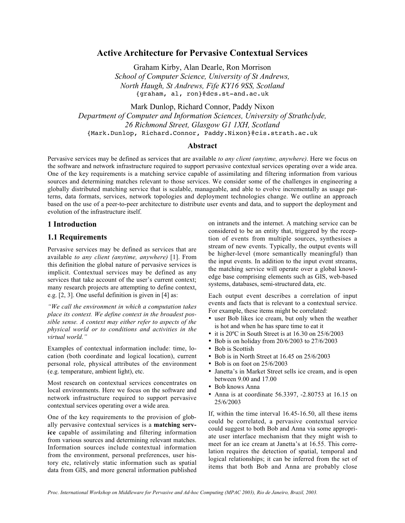### **Active Architecture for Pervasive Contextual Services**

Graham Kirby, Alan Dearle, Ron Morrison

*School of Computer Science, University of St Andrews, North Haugh, St Andrews, Fife KY16 9SS, Scotland* {graham, al, ron}@dcs.st-and.ac.uk

Mark Dunlop, Richard Connor, Paddy Nixon

*Department of Computer and Information Sciences, University of Strathclyde, 26 Richmond Street, Glasgow G1 1XH, Scotland* {Mark.Dunlop, Richard.Connor, Paddy.Nixon}@cis.strath.ac.uk

### **Abstract**

Pervasive services may be defined as services that are available *to any client (anytime, anywhere)*. Here we focus on the software and network infrastructure required to support pervasive contextual services operating over a wide area. One of the key requirements is a matching service capable of assimilating and filtering information from various sources and determining matches relevant to those services. We consider some of the challenges in engineering a globally distributed matching service that is scalable, manageable, and able to evolve incrementally as usage patterns, data formats, services, network topologies and deployment technologies change. We outline an approach based on the use of a peer-to-peer architecture to distribute user events and data, and to support the deployment and evolution of the infrastructure itself.

### **1 Introduction**

### **1.1 Requirements**

Pervasive services may be defined as services that are available *to any client (anytime, anywhere)* [1]. From this definition the global nature of pervasive services is implicit. Contextual services may be defined as any services that take account of the user's current context; many research projects are attempting to define context, e.g. [2, 3]. One useful definition is given in [4] as:

*"We call the environment in which a computation takes place its context. We define context in the broadest possible sense. A context may either refer to aspects of the physical world or to conditions and activities in the virtual world."*

Examples of contextual information include: time, location (both coordinate and logical location), current personal role, physical attributes of the environment (e.g. temperature, ambient light), etc.

Most research on contextual services concentrates on local environments. Here we focus on the software and network infrastructure required to support pervasive contextual services operating over a wide area.

One of the key requirements to the provision of globally pervasive contextual services is a **matching service** capable of assimilating and filtering information from various sources and determining relevant matches. Information sources include contextual information from the environment, personal preferences, user history etc, relatively static information such as spatial data from GIS, and more general information published

on intranets and the internet. A matching service can be considered to be an entity that, triggered by the reception of events from multiple sources, synthesises a stream of new events. Typically, the output events will be higher-level (more semantically meaningful) than the input events. In addition to the input event streams, the matching service will operate over a global knowledge base comprising elements such as GIS, web-based systems, databases, semi-structured data, etc.

Each output event describes a correlation of input events and facts that is relevant to a contextual service. For example, these items might be correlated:

- user Bob likes ice cream, but only when the weather is hot and when he has spare time to eat it
- it is 20ºC in South Street is at 16.30 on 25/6/2003
- Bob is on holiday from 20/6/2003 to 27/6/2003
- Bob is Scottish
- Bob is in North Street at 16.45 on 25/6/2003
- Bob is on foot on 25/6/2003
- Janetta's in Market Street sells ice cream, and is open between 9.00 and 17.00
- Bob knows Anna
- Anna is at coordinate 56.3397, -2.80753 at 16.15 on 25/6/2003

If, within the time interval 16.45-16.50, all these items could be correlated, a pervasive contextual service could suggest to both Bob and Anna via some appropriate user interface mechanism that they might wish to meet for an ice cream at Janetta's at 16.55. This correlation requires the detection of spatial, temporal and logical relationships; it can be inferred from the set of items that both Bob and Anna are probably close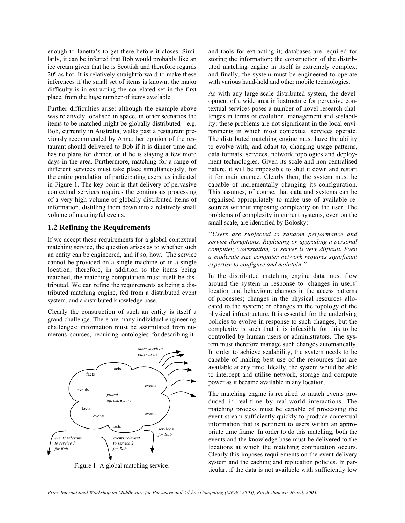enough to Janetta's to get there before it closes. Similarly, it can be inferred that Bob would probably like an ice cream given that he is Scottish and therefore regards 20º as hot. It is relatively straightforward to make these inferences if the small set of items is known; the major difficulty is in extracting the correlated set in the first place, from the huge number of items available.

Further difficulties arise: although the example above was relatively localised in space, in other scenarios the items to be matched might be globally distributed—e.g. Bob, currently in Australia, walks past a restaurant previously recommended by Anna: her opinion of the restaurant should delivered to Bob if it is dinner time and has no plans for dinner, or if he is staying a few more days in the area. Furthermore, matching for a range of different services must take place simultaneously, for the entire population of participating users, as indicated in Figure 1. The key point is that delivery of pervasive contextual services requires the continuous processing of a very high volume of globally distributed items of information, distilling them down into a relatively small volume of meaningful events.

# **1.2 Refining the Requirements**

If we accept these requirements for a global contextual matching service, the question arises as to whether such an entity can be engineered, and if so, how. The service cannot be provided on a single machine or in a single location; therefore, in addition to the items being matched, the matching computation must itself be distributed. We can refine the requirements as being a distributed matching engine, fed from a distributed event system, and a distributed knowledge base.

Clearly the construction of such an entity is itself a grand challenge. There are many individual engineering challenges: information must be assimilated from numerous sources, requiring ontologies for describing it



Figure 1: A global matching service.

and tools for extracting it; databases are required for storing the information; the construction of the distributed matching engine in itself is extremely complex; and finally, the system must be engineered to operate with various hand-held and other mobile technologies.

As with any large-scale distributed system, the development of a wide area infrastructure for pervasive contextual services poses a number of novel research challenges in terms of evolution, management and scalability; these problems are not significant in the local environments in which most contextual services operate. The distributed matching engine must have the ability to evolve with, and adapt to, changing usage patterns, data formats, services, network topologies and deployment technologies. Given its scale and non-centralised nature, it will be impossible to shut it down and restart it for maintenance. Clearly then, the system must be capable of incrementally changing its configuration. This assumes, of course, that data and systems can be organised appropriately to make use of available resources without imposing complexity on the user. The problems of complexity in current systems, even on the small scale, are identified by Bolosky:

*"Users are subjected to random performance and service disruptions. Replacing or upgrading a personal computer, workstation, or server is very difficult. Even a moderate size computer network requires significant expertise to configure and maintain."*

In the distributed matching engine data must flow around the system in response to: changes in users' location and behaviour; changes in the access patterns of processes; changes in the physical resources allocated to the system; or changes in the topology of the physical infrastructure. It is essential for the underlying policies to evolve in response to such changes, but the complexity is such that it is infeasible for this to be controlled by human users or administrators. The system must therefore manage such changes automatically. In order to achieve scalability, the system needs to be capable of making best use of the resources that are available at any time. Ideally, the system would be able to intercept and utilise network, storage and compute power as it became available in any location.

The matching engine is required to match events produced in real-time by real-world interactions. The matching process must be capable of processing the event stream sufficiently quickly to produce contextual information that is pertinent to users within an appropriate time frame. In order to do this matching, both the events and the knowledge base must be delivered to the locations at which the matching computation occurs. Clearly this imposes requirements on the event delivery system and the caching and replication policies. In particular, if the data is not available with sufficiently low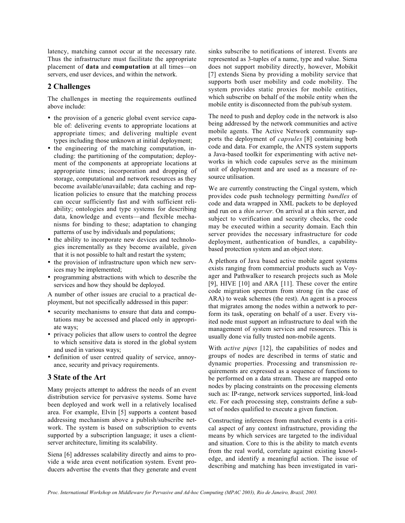latency, matching cannot occur at the necessary rate. Thus the infrastructure must facilitate the appropriate placement of **data** and **computation** at all times—on servers, end user devices, and within the network.

### **2 Challenges**

The challenges in meeting the requirements outlined above include:

- the provision of a generic global event service capable of: delivering events to appropriate locations at appropriate times; and delivering multiple event types including those unknown at initial deployment;
- the engineering of the matching computation, including: the partitioning of the computation; deployment of the components at appropriate locations at appropriate times; incorporation and dropping of storage, computational and network resources as they become available/unavailable; data caching and replication policies to ensure that the matching process can occur sufficiently fast and with sufficient reliability; ontologies and type systems for describing data, knowledge and events—and flexible mechanisms for binding to these; adaptation to changing patterns of use by individuals and populations;
- the ability to incorporate new devices and technologies incrementally as they become available, given that it is not possible to halt and restart the system;
- the provision of infrastructure upon which new services may be implemented;
- programming abstractions with which to describe the services and how they should be deployed.

A number of other issues are crucial to a practical deployment, but not specifically addressed in this paper:

- security mechanisms to ensure that data and computations may be accessed and placed only in appropriate ways;
- privacy policies that allow users to control the degree to which sensitive data is stored in the global system and used in various ways;
- definition of user centred quality of service, annoyance, security and privacy requirements.

### **3 State of the Art**

Many projects attempt to address the needs of an event distribution service for pervasive systems. Some have been deployed and work well in a relatively localised area. For example, Elvin [5] supports a content based addressing mechanism above a publish/subscribe network. The system is based on subscription to events supported by a subscription language; it uses a clientserver architecture, limiting its scalability.

Siena [6] addresses scalability directly and aims to provide a wide area event notification system. Event producers advertise the events that they generate and event sinks subscribe to notifications of interest. Events are represented as 3-tuples of a name, type and value. Siena does not support mobility directly, however, Mobikit [7] extends Siena by providing a mobility service that supports both user mobility and code mobility. The system provides static proxies for mobile entities, which subscribe on behalf of the mobile entity when the mobile entity is disconnected from the pub/sub system.

The need to push and deploy code in the network is also being addressed by the network communities and active mobile agents. The Active Network community supports the deployment of *capsules* [8] containing both code and data. For example, the ANTS system supports a Java-based toolkit for experimenting with active networks in which code capsules serve as the minimum unit of deployment and are used as a measure of resource utilisation.

We are currently constructing the Cingal system, which provides code push technology permitting *bundles* of code and data wrapped in XML packets to be deployed and run on a *thin server*. On arrival at a thin server, and subject to verification and security checks, the code may be executed within a security domain. Each thin server provides the necessary infrastructure for code deployment, authentication of bundles, a capabilitybased protection system and an object store.

A plethora of Java based active mobile agent systems exists ranging from commercial products such as Voyager and Pathwalker to research projects such as Mole [9], HIVE [10] and ARA [11]. These cover the entire code migration spectrum from strong (in the case of ARA) to weak schemes (the rest). An agent is a process that migrates among the nodes within a network to perform its task, operating on behalf of a user. Every visited node must support an infrastructure to deal with the management of system services and resources. This is usually done via fully trusted non-mobile agents.

With *active pipes* [12], the capabilities of nodes and groups of nodes are described in terms of static and dynamic properties. Processing and transmission requirements are expressed as a sequence of functions to be performed on a data stream. These are mapped onto nodes by placing constraints on the processing elements such as: IP-range, network services supported, link-load etc. For each processing step, constraints define a subset of nodes qualified to execute a given function.

Constructing inferences from matched events is a critical aspect of any context infrastructure, providing the means by which services are targeted to the individual and situation. Core to this is the ability to match events from the real world, correlate against existing knowledge, and identify a meaningful action. The issue of describing and matching has been investigated in vari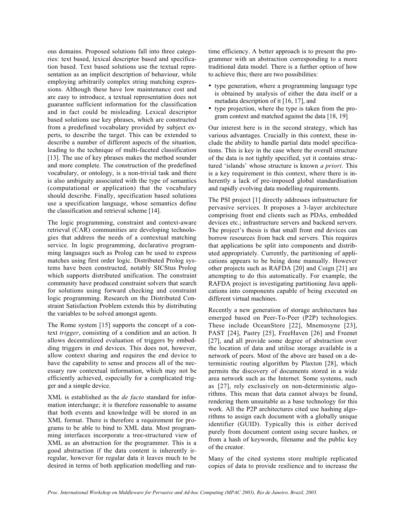ous domains. Proposed solutions fall into three categories: text based, lexical descriptor based and specification based. Text based solutions use the textual representation as an implicit description of behaviour, while employing arbitrarily complex string matching expressions. Although these have low maintenance cost and are easy to introduce, a textual representation does not guarantee sufficient information for the classification and in fact could be misleading. Lexical descriptor based solutions use key phrases, which are constructed from a predefined vocabulary provided by subject experts, to describe the target. This can be extended to describe a number of different aspects of the situation, leading to the technique of multi-faceted classification [13]. The use of key phrases makes the method sounder and more complete. The construction of the predefined vocabulary, or ontology, is a non-trivial task and there is also ambiguity associated with the type of semantics (computational or application) that the vocabulary should describe. Finally, specification based solutions use a specification language, whose semantics define the classification and retrieval scheme [14].

The logic programming, constraint and context-aware retrieval (CAR) communities are developing technologies that address the needs of a contextual matching service. In logic programming, declarative programming languages such as Prolog can be used to express matches using first order logic. Distributed Prolog systems have been constructed, notably SICStus Prolog which supports distributed unification. The constraint community have produced constraint solvers that search for solutions using forward checking and constraint logic programming. Research on the Distributed Constraint Satisfaction Problem extends this by distributing the variables to be solved amongst agents.

The Rome system [15] supports the concept of a context *trigger*, consisting of a condition and an action. It allows decentralized evaluation of triggers by embedding triggers in end devices. This does not, however, allow context sharing and requires the end device to have the capability to sense and process all of the necessary raw contextual information, which may not be efficiently achieved, especially for a complicated trigger and a simple device.

XML is established as the *de facto* standard for information interchange; it is therefore reasonable to assume that both events and knowledge will be stored in an XML format. There is therefore a requirement for programs to be able to bind to XML data. Most programming interfaces incorporate a tree-structured view of XML as an abstraction for the programmer. This is a good abstraction if the data content is inherently irregular, however for regular data it leaves much to be desired in terms of both application modelling and runtime efficiency. A better approach is to present the programmer with an abstraction corresponding to a more traditional data model. There is a further option of how to achieve this; there are two possibilities:

- type generation, where a programming language type is obtained by analysis of either the data itself or a metadata description of it [16, 17], and
- type projection, where the type is taken from the program context and matched against the data [18, 19]

Our interest here is in the second strategy, which has various advantages. Crucially in this context, these include the ability to handle partial data model specifications. This is key in the case where the overall structure of the data is not tightly specified, yet it contains structured 'islands' whose structure is known *a priori*. This is a key requirement in this context, where there is inherently a lack of pre-imposed global standardisation and rapidly evolving data modelling requirements.

The PSI project [1] directly addresses infrastructure for pervasive services. It proposes a 3-layer architecture comprising front end clients such as PDAs, embedded devices etc.; infrastructure servers and backend servers. The project's thesis is that small front end devices can borrow resources from back end servers. This requires that applications be split into components and distributed appropriately. Currently, the partitioning of applications appears to be being done manually. However other projects such as RAFDA [20] and Coign [21] are attempting to do this automatically. For example, the RAFDA project is investigating partitioning Java applications into components capable of being executed on different virtual machines.

Recently a new generation of storage architectures has emerged based on Peer-To-Peer (P2P) technologies. These include OceanStore [22], Mnemosyne [23], PAST [24], Pastry [25], FreeHaven [26] and Freenet [27], and all provide some degree of abstraction over the location of data and utilise storage available in a network of peers. Most of the above are based on a deterministic routing algorithm by Plaxton [28], which permits the discovery of documents stored in a wide area network such as the Internet. Some systems, such as [27], rely exclusively on non-deterministic algorithms. This mean that data cannot always be found, rendering them unsuitable as a base technology for this work. All the P2P architectures cited use hashing algorithms to assign each document with a globally unique identifier (GUID). Typically this is either derived purely from document content using secure hashes, or from a hash of keywords, filename and the public key of the creator.

Many of the cited systems store multiple replicated copies of data to provide resilience and to increase the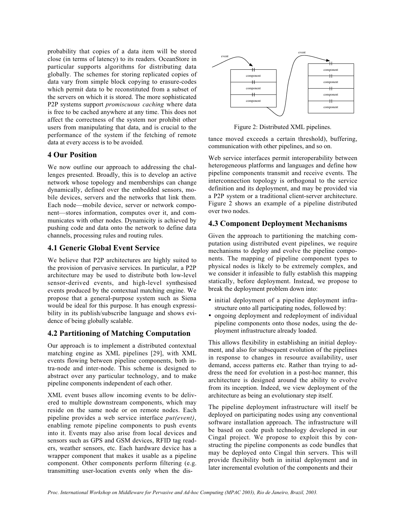probability that copies of a data item will be stored close (in terms of latency) to its readers. OceanStore in particular supports algorithms for distributing data globally. The schemes for storing replicated copies of data vary from simple block copying to erasure-codes which permit data to be reconstituted from a subset of the servers on which it is stored. The more sophisticated P2P systems support *promiscuous caching* where data is free to be cached anywhere at any time. This does not affect the correctness of the system nor prohibit other users from manipulating that data, and is crucial to the performance of the system if the fetching of remote data at every access is to be avoided.

### **4 Our Position**

**4 Our Position** We now outline our approach to addressing the challenges presented. Broadly, this is to develop an active network whose topology and memberships can change dynamically, defined over the embedded sensors, mobile devices, servers and the networks that link them. Each node—mobile device, server or network component—stores information, computes over it, and communicates with other nodes. Dynamicity is achieved by pushing code and data onto the network to define data channels, processing rules and routing rules.

### **4.1 Generic Global Event Service**

**4.1 Generic Global Event Service** We believe that P2P architectures are highly suited to the provision of pervasive services. In particular, a P2P architecture may be used to distribute both low-level sensor-derived events, and high-level synthesised events produced by the contextual matching engine. We propose that a general-purpose system such as Siena would be ideal for this purpose. It has enough expressibility in its publish/subscribe language and shows evidence of being globally scalable.

**4.2 Partitioning of Matching Computation** Our approach is to implement a distributed contextual matching engine as XML pipelines [29], with XML events flowing between pipeline components, both intra-node and inter-node. This scheme is designed to abstract over any particular technology, and to make pipeline components independent of each other.

XML event buses allow incoming events to be delivered to multiple downstream components, which may reside on the same node or on remote nodes. Each pipeline provides a web service interface *put(event)*, enabling remote pipeline components to push events into it. Events may also arise from local devices and sensors such as GPS and GSM devices, RFID tag readers, weather sensors, etc. Each hardware device has a wrapper component that makes it usable as a pipeline component. Other components perform filtering (e.g. transmitting user-location events only when the dis-



Figure 2: Distributed XML pipelines.

tance moved exceeds a certain threshold), buffering, communication with other pipelines, and so on.

Web service interfaces permit interoperability between heterogeneous platforms and languages and define how pipeline components transmit and receive events. The interconnection topology is orthogonal to the service definition and its deployment, and may be provided via a P2P system or a traditional client-server architecture. Figure 2 shows an example of a pipeline distributed over two nodes.

**4.3 Component Deployment Mechanisms** Given the approach to partitioning the matching computation using distributed event pipelines, we require mechanisms to deploy and evolve the pipeline components. The mapping of pipeline component types to physical nodes is likely to be extremely complex, and we consider it infeasible to fully establish this mapping statically, before deployment. Instead, we propose to break the deployment problem down into:

- initial deployment of a pipeline deployment infrastructure onto all participating nodes, followed by:
- ongoing deployment and redeployment of individual pipeline components onto those nodes, using the deployment infrastructure already loaded.

This allows flexibility in establishing an initial deployment, and also for subsequent evolution of the pipelines in response to changes in resource availability, user demand, access patterns etc. Rather than trying to address the need for evolution in a post-hoc manner, this architecture is designed around the ability to evolve from its inception. Indeed, we view deployment of the architecture as being an evolutionary step itself.

The pipeline deployment infrastructure will itself be deployed on participating nodes using any conventional software installation approach. The infrastructure will be based on code push technology developed in our Cingal project. We propose to exploit this by constructing the pipeline components as code bundles that may be deployed onto Cingal thin servers. This will provide flexibility both in initial deployment and in later incremental evolution of the components and their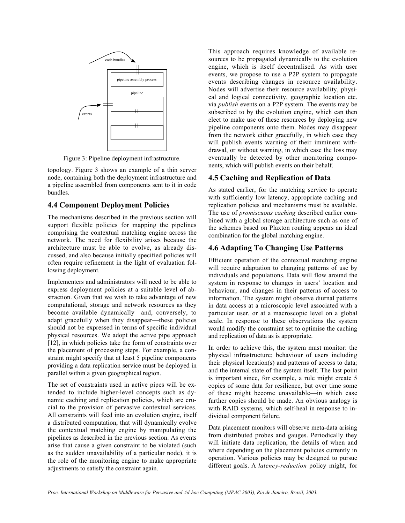

Figure 3: Pipeline deployment infrastructure.

topology. Figure 3 shows an example of a thin server node, containing both the deployment infrastructure and a pipeline assembled from components sent to it in code bundles.

### **4.4 Component Deployment Policies**

The mechanisms described in the previous section will support flexible policies for mapping the pipelines comprising the contextual matching engine across the network. The need for flexibility arises because the architecture must be able to evolve, as already discussed, and also because initially specified policies will often require refinement in the light of evaluation following deployment.

Implementers and administrators will need to be able to express deployment policies at a suitable level of abstraction. Given that we wish to take advantage of new computational, storage and network resources as they become available dynamically—and, conversely, to adapt gracefully when they disappear—these policies should not be expressed in terms of specific individual physical resources. We adopt the active pipe approach [12], in which policies take the form of constraints over the placement of processing steps. For example, a constraint might specify that at least 5 pipeline components providing a data replication service must be deployed in parallel within a given geographical region.

The set of constraints used in active pipes will be extended to include higher-level concepts such as dynamic caching and replication policies, which are crucial to the provision of pervasive contextual services. All constraints will feed into an evolution engine, itself a distributed computation, that will dynamically evolve the contextual matching engine by manipulating the pipelines as described in the previous section. As events arise that cause a given constraint to be violated (such as the sudden unavailability of a particular node), it is the role of the monitoring engine to make appropriate adjustments to satisfy the constraint again.

This approach requires knowledge of available resources to be propagated dynamically to the evolution engine, which is itself decentralised. As with user events, we propose to use a P2P system to propagate events describing changes in resource availability. Nodes will advertise their resource availability, physical and logical connectivity, geographic location etc. via *publish* events on a P2P system. The events may be subscribed to by the evolution engine, which can then elect to make use of these resources by deploying new pipeline components onto them. Nodes may disappear from the network either gracefully, in which case they will publish events warning of their imminent withdrawal, or without warning, in which case the loss may eventually be detected by other monitoring components, which will publish events on their behalf.

# **4.5 Caching and Replication of Data**

As stated earlier, for the matching service to operate with sufficiently low latency, appropriate caching and replication policies and mechanisms must be available. The use of *promiscuous caching* described earlier combined with a global storage architecture such as one of the schemes based on Plaxton routing appears an ideal combination for the global matching engine.

# **4.6 Adapting To Changing Use Patterns**

Efficient operation of the contextual matching engine will require adaptation to changing patterns of use by individuals and populations. Data will flow around the system in response to changes in users' location and behaviour, and changes in their patterns of access to information. The system might observe diurnal patterns in data access at a microscopic level associated with a particular user, or at a macroscopic level on a global scale. In response to these observations the system would modify the constraint set to optimise the caching and replication of data as is appropriate.

In order to achieve this, the system must monitor: the physical infrastructure; behaviour of users including their physical location(s) and patterns of access to data; and the internal state of the system itself. The last point is important since, for example, a rule might create 5 copies of some data for resilience, but over time some of these might become unavailable—in which case further copies should be made. An obvious analogy is with RAID systems, which self-heal in response to individual component failure.

Data placement monitors will observe meta-data arising from distributed probes and gauges. Periodically they will initiate data replication, the details of when and where depending on the placement policies currently in operation. Various policies may be designed to pursue different goals. A *latency-reduction* policy might, for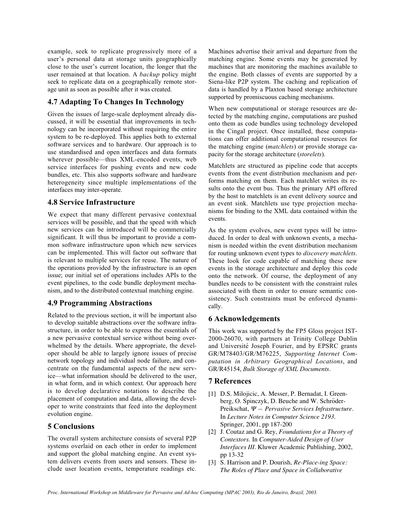example, seek to replicate progressively more of a user's personal data at storage units geographically close to the user's current location, the longer that the user remained at that location. A *backup* policy might seek to replicate data on a geographically remote storage unit as soon as possible after it was created.

# **4.7 Adapting To Changes In Technology**

Given the issues of large-scale deployment already discussed, it will be essential that improvements in technology can be incorporated without requiring the entire system to be re-deployed. This applies both to external software services and to hardware. Our approach is to use standardised and open interfaces and data formats wherever possible—thus XML-encoded events, web service interfaces for pushing events and new code bundles, etc. This also supports software and hardware heterogeneity since multiple implementations of the interfaces may inter-operate.

### **4.8 Service Infrastructure**

We expect that many different pervasive contextual services will be possible, and that the speed with which new services can be introduced will be commercially significant. It will thus be important to provide a common software infrastructure upon which new services can be implemented. This will factor out software that is relevant to multiple services for reuse. The nature of the operations provided by the infrastructure is an open issue; our initial set of operations includes APIs to the event pipelines, to the code bundle deployment mechanism, and to the distributed contextual matching engine.

### **4.9 Programming Abstractions**

Related to the previous section, it will be important also to develop suitable abstractions over the software infrastructure, in order to be able to express the essentials of a new pervasive contextual service without being overwhelmed by the details. Where appropriate, the developer should be able to largely ignore issues of precise network topology and individual node failure, and concentrate on the fundamental aspects of the new service—what information should be delivered to the user, in what form, and in which context. Our approach here is to develop declarative notations to describe the placement of computation and data, allowing the developer to write constraints that feed into the deployment evolution engine.

### **5 Conclusions**

The overall system architecture consists of several P2P systems overlaid on each other in order to implement and support the global matching engine. An event system delivers events from users and sensors. These include user location events, temperature readings etc.

Machines advertise their arrival and departure from the matching engine. Some events may be generated by machines that are monitoring the machines available to the engine. Both classes of events are supported by a Siena-like P2P system. The caching and replication of data is handled by a Plaxton based storage architecture supported by promiscuous caching mechanisms.

When new computational or storage resources are detected by the matching engine, computations are pushed onto them as code bundles using technology developed in the Cingal project. Once installed, these computations can offer additional computational resources for the matching engine (*matchlets*) or provide storage capacity for the storage architecture (*storelets*).

Matchlets are structured as pipeline code that accepts events from the event distribution mechanism and performs matching on them. Each matchlet writes its results onto the event bus. Thus the primary API offered by the host to matchlets is an event delivery source and an event sink. Matchlets use type projection mechanisms for binding to the XML data contained within the events.

As the system evolves, new event types will be introduced. In order to deal with unknown events, a mechanism is needed within the event distribution mechanism for routing unknown event types to *discovery matchlets*. These look for code capable of matching these new events in the storage architecture and deploy this code onto the network. Of course, the deployment of any bundles needs to be consistent with the constraint rules associated with them in order to ensure semantic consistency. Such constraints must be enforced dynamically.

### **6 Acknowledgements**

This work was supported by the FP5 Gloss project IST-2000-26070, with partners at Trinity College Dublin and Université Joseph Fourier, and by EPSRC grants GR/M78403/GR/M76225, *Supporting Internet Computation in Arbitrary Geographical Locations*, and GR/R45154, *Bulk Storage of XML Documents*.

### **7 References**

- [1] D.S. Milojicic, A. Messer, P. Bernadat, I. Greenberg, O. Spinczyk, D. Beuche and W. Schröder-Preikschat, Ψ *— Pervasive Services Infrastructure*. In *Lecture Notes in Computer Science 2193*. Springer, 2001, pp 187-200
- [2] J. Coutaz and G. Rey, *Foundations for a Theory of Contextors*. In *Computer-Aided Design of User Interfaces III*. Kluwer Academic Publishing, 2002, pp 13-32
- [3] S. Harrison and P. Dourish, *Re-Place-ing Space: The Roles of Place and Space in Collaborative*